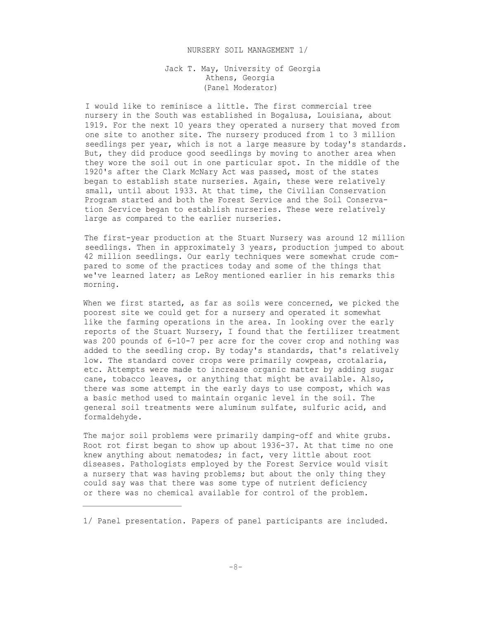## NURSERY SOIL MANAGEMENT 1/

## Jack T. May, University of Georgia Athens, Georgia (Panel Moderator)

I would like to reminisce a little. The first commercial tree nursery in the South was established in Bogalusa, Louisiana, about 1919. For the next 10 years they operated a nursery that moved from one site to another site. The nursery produced from 1 to 3 million seedlings per year, which is not a large measure by today's standards. But, they did produce good seedlings by moving to another area when they wore the soil out in one particular spot. In the middle of the 1920's after the Clark McNary Act was passed, most of the states began to establish state nurseries. Again, these were relatively small, until about 1933. At that time, the Civilian Conservation Program started and both the Forest Service and the Soil Conservation Service began to establish nurseries. These were relatively large as compared to the earlier nurseries.

The first-year production at the Stuart Nursery was around 12 million seedlings. Then in approximately 3 years, production jumped to about 42 million seedlings. Our early techniques were somewhat crude compared to some of the practices today and some of the things that we've learned later; as LeRoy mentioned earlier in his remarks this morning.

When we first started, as far as soils were concerned, we picked the poorest site we could get for a nursery and operated it somewhat like the farming operations in the area. In looking over the early reports of the Stuart Nursery, I found that the fertilizer treatment was 200 pounds of 6-10-7 per acre for the cover crop and nothing was added to the seedling crop. By today's standards, that's relatively low. The standard cover crops were primarily cowpeas, crotalaria, etc. Attempts were made to increase organic matter by adding sugar cane, tobacco leaves, or anything that might be available. Also, there was some attempt in the early days to use compost, which was a basic method used to maintain organic level in the soil. The general soil treatments were aluminum sulfate, sulfuric acid, and formaldehyde.

The major soil problems were primarily damping-off and white grubs. Root rot first began to show up about 1936-37. At that time no one knew anything about nematodes; in fact, very little about root diseases. Pathologists employed by the Forest Service would visit a nursery that was having problems; but about the only thing they could say was that there was some type of nutrient deficiency or there was no chemical available for control of the problem.

<sup>1/</sup> Panel presentation. Papers of panel participants are included.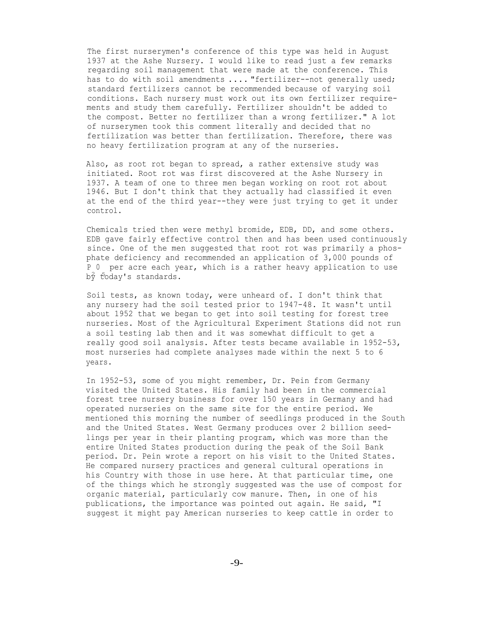The first nurserymen's conference of this type was held in August 1937 at the Ashe Nursery. I would like to read just a few remarks regarding soil management that were made at the conference. This has to do with soil amendments .... "fertilizer--not generally used; standard fertilizers cannot be recommended because of varying soil conditions. Each nursery must work out its own fertilizer requirements and study them carefully. Fertilizer shouldn't be added to the compost. Better no fertilizer than a wrong fertilizer." A lot of nurserymen took this comment literally and decided that no fertilization was better than fertilization. Therefore, there was no heavy fertilization program at any of the nurseries.

Also, as root rot began to spread, a rather extensive study was initiated. Root rot was first discovered at the Ashe Nursery in 1937. A team of one to three men began working on root rot about 1946. But I don't think that they actually had classified it even at the end of the third year--they were just trying to get it under control.

Chemicals tried then were methyl bromide, EDB, DD, and some others. EDB gave fairly effective control then and has been used continuously since. One of the men suggested that root rot was primarily a phosphate deficiency and recommended an application of 3,000 pounds of P 0 per acre each year, which is a rather heavy application to use by today's standards.

Soil tests, as known today, were unheard of. I don't think that any nursery had the soil tested prior to 1947-48. It wasn't until about 1952 that we began to get into soil testing for forest tree nurseries. Most of the Agricultural Experiment Stations did not run a soil testing lab then and it was somewhat difficult to get a really good soil analysis. After tests became available in 1952-53, most nurseries had complete analyses made within the next 5 to 6 years.

In 1952-53, some of you might remember, Dr. Pein from Germany visited the United States. His family had been in the commercial forest tree nursery business for over 150 years in Germany and had operated nurseries on the same site for the entire period. We mentioned this morning the number of seedlings produced in the South and the United States. West Germany produces over 2 billion seedlings per year in their planting program, which was more than the entire United States production during the peak of the Soil Bank period. Dr. Pein wrote a report on his visit to the United States. He compared nursery practices and general cultural operations in his Country with those in use here. At that particular time, one of the things which he strongly suggested was the use of compost for organic material, particularly cow manure. Then, in one of his publications, the importance was pointed out again. He said, "I suggest it might pay American nurseries to keep cattle in order to